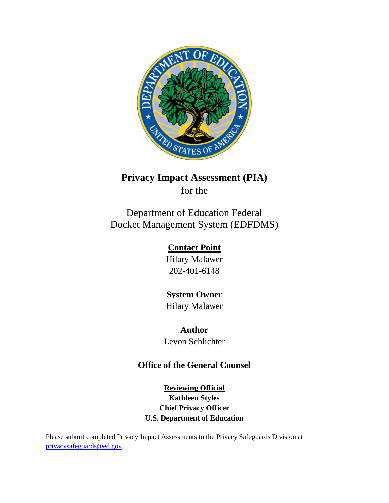

# **Privacy Impact Assessment (PIA)**

for the

Department of Education Federal Docket Management System (EDFDMS)

> **Contact Point** Hilary Malawer 202-401-6148

> **System Owner** Hilary Malawer

**Author** Levon Schlichter

# **Office of the General Counsel**

**Reviewing Official Kathleen Styles Chief Privacy Officer U.S. Department of Education** 

Please submit completed Privacy Impact Assessments to the Privacy Safeguards Division at [privacysafeguards@ed.gov.](mailto:privacysafeguards@ed.gov)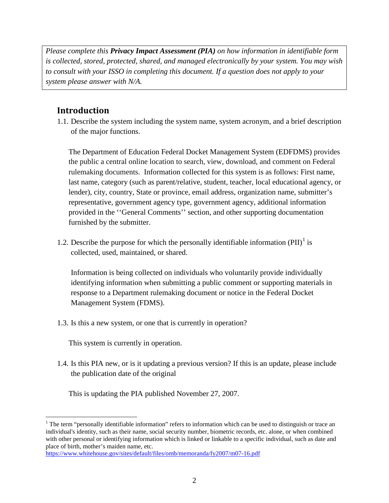*Please complete this Privacy Impact Assessment (PIA) on how information in identifiable form is collected, stored, protected, shared, and managed electronically by your system. You may wish to consult with your ISSO in completing this document. If a question does not apply to your system please answer with N/A.*

# **Introduction**

1.1. Describe the system including the system name, system acronym, and a brief description of the major functions.

The Department of Education Federal Docket Management System (EDFDMS) provides the public a central online location to search, view, download, and comment on Federal rulemaking documents. Information collected for this system is as follows: First name, last name, category (such as parent/relative, student, teacher, local educational agency, or lender), city, country, State or province, email address, organization name, submitter's representative, government agency type, government agency, additional information provided in the ''General Comments'' section, and other supporting documentation furnished by the submitter.

[1](#page-1-0).2. Describe the purpose for which the personally identifiable information  $(PII)^{1}$  is collected, used, maintained, or shared.

Information is being collected on individuals who voluntarily provide individually identifying information when submitting a public comment or supporting materials in response to a Department rulemaking document or notice in the Federal Docket Management System (FDMS).

1.3. Is this a new system, or one that is currently in operation?

This system is currently in operation.

1.4. Is this PIA new, or is it updating a previous version? If this is an update, please include the publication date of the original

This is updating the PIA published November 27, 2007.

<span id="page-1-0"></span> $\overline{a}$ <sup>1</sup> The term "personally identifiable information" refers to information which can be used to distinguish or trace an individual's identity, such as their name, social security number, biometric records, etc. alone, or when combined with other personal or identifying information which is linked or linkable to a specific individual, such as date and place of birth, mother's maiden name, etc.

<https://www.whitehouse.gov/sites/default/files/omb/memoranda/fy2007/m07-16.pdf>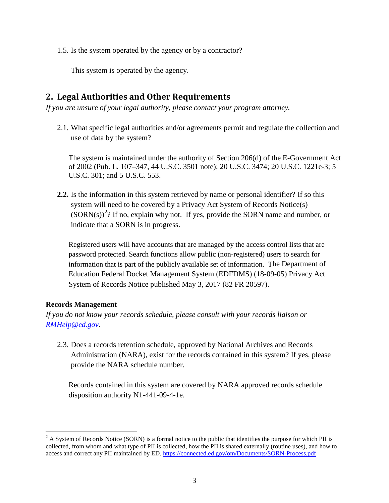1.5. Is the system operated by the agency or by a contractor?

This system is operated by the agency.

# **2. Legal Authorities and Other Requirements**

*If you are unsure of your legal authority, please contact your program attorney.*

2.1. What specific legal authorities and/or agreements permit and regulate the collection and use of data by the system?

The system is maintained under the authority of Section 206(d) of the E-Government Act of 2002 (Pub. L. 107–347, 44 U.S.C. 3501 note); 20 U.S.C. 3474; 20 U.S.C. 1221e-3; 5 U.S.C. 301; and 5 U.S.C. 553.

**2.2.** Is the information in this system retrieved by name or personal identifier? If so this system will need to be covered by a Privacy Act System of Records Notice(s)  $(SORN(s))^2$  $(SORN(s))^2$ ? If no, explain why not. If yes, provide the SORN name and number, or indicate that a SORN is in progress.

Registered users will have accounts that are managed by the access control lists that are password protected. Search functions allow public (non-registered) users to search for information that is part of the publicly available set of information. The Department of Education Federal Docket Management System (EDFDMS) (18-09-05) Privacy Act System of Records Notice published May 3, 2017 (82 FR 20597).

#### **Records Management**

*If you do not know your records schedule, please consult with your records liaison or [RMHelp@ed.gov.](mailto:RMHelp@ed.gov)* 

2.3. Does a records retention schedule, approved by National Archives and Records Administration (NARA), exist for the records contained in this system? If yes, please provide the NARA schedule number.

Records contained in this system are covered by NARA approved records schedule disposition authority N1-441-09-4-1e.

<span id="page-2-0"></span> $\overline{a}$  $2$  A System of Records Notice (SORN) is a formal notice to the public that identifies the purpose for which PII is collected, from whom and what type of PII is collected, how the PII is shared externally (routine uses), and how to access and correct any PII maintained by ED[. https://connected.ed.gov/om/Documents/SORN-Process.pdf](https://connected.ed.gov/om/Documents/SORN-Process.pdf)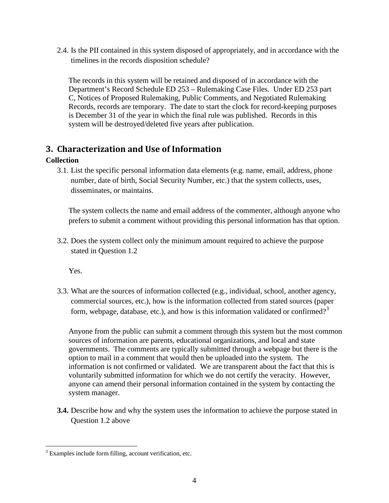2.4. Is the PII contained in this system disposed of appropriately, and in accordance with the timelines in the records disposition schedule?

The records in this system will be retained and disposed of in accordance with the Department's Record Schedule ED 253 – Rulemaking Case Files. Under ED 253 part C, Notices of Proposed Rulemaking, Public Comments, and Negotiated Rulemaking Records, records are temporary. The date to start the clock for record-keeping purposes is December 31 of the year in which the final rule was published. Records in this system will be destroyed/deleted five years after publication.

# **3. Characterization and Use of Information**

#### **Collection**

3.1. List the specific personal information data elements (e.g. name, email, address, phone number, date of birth, Social Security Number, etc.) that the system collects, uses, disseminates, or maintains.

The system collects the name and email address of the commenter, although anyone who prefers to submit a comment without providing this personal information has that option.

3.2. Does the system collect only the minimum amount required to achieve the purpose stated in Question 1.2

Yes.

3.3. What are the sources of information collected (e.g., individual, school, another agency, commercial sources, etc.), how is the information collected from stated sources (paper form, webpage, database, etc.), and how is this information validated or confirmed?<sup>[3](#page-3-0)</sup>

Anyone from the public can submit a comment through this system but the most common sources of information are parents, educational organizations, and local and state governments. The comments are typically submitted through a webpage but there is the option to mail in a comment that would then be uploaded into the system. The information is not confirmed or validated. We are transparent about the fact that this is voluntarily submitted information for which we do not certify the veracity. However, anyone can amend their personal information contained in the system by contacting the system manager.

**3.4.** Describe how and why the system uses the information to achieve the purpose stated in Question 1.2 above

<span id="page-3-0"></span> $\overline{a}$ <sup>3</sup> Examples include form filling, account verification, etc.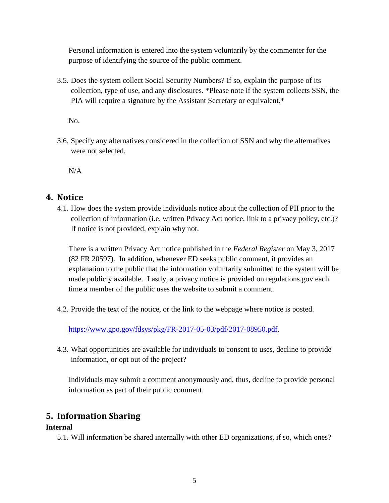Personal information is entered into the system voluntarily by the commenter for the purpose of identifying the source of the public comment.

3.5. Does the system collect Social Security Numbers? If so, explain the purpose of its collection, type of use, and any disclosures. \*Please note if the system collects SSN, the PIA will require a signature by the Assistant Secretary or equivalent.\*

No.

3.6. Specify any alternatives considered in the collection of SSN and why the alternatives were not selected.

N/A

## **4. Notice**

4.1. How does the system provide individuals notice about the collection of PII prior to the collection of information (i.e. written Privacy Act notice, link to a privacy policy, etc.)? If notice is not provided, explain why not.

There is a written Privacy Act notice published in the *Federal Register* on May 3, 2017 (82 FR 20597). In addition, whenever ED seeks public comment, it provides an explanation to the public that the information voluntarily submitted to the system will be made publicly available. Lastly, a privacy notice is provided on regulations.gov each time a member of the public uses the website to submit a comment.

4.2. Provide the text of the notice, or the link to the webpage where notice is posted.

[https://www.gpo.gov/fdsys/pkg/FR-2017-05-03/pdf/2017-08950.pdf.](https://www.gpo.gov/fdsys/pkg/FR-2017-05-03/pdf/2017-08950.pdf)

4.3. What opportunities are available for individuals to consent to uses, decline to provide information, or opt out of the project?

Individuals may submit a comment anonymously and, thus, decline to provide personal information as part of their public comment.

## **5. Information Sharing**

#### **Internal**

5.1. Will information be shared internally with other ED organizations, if so, which ones?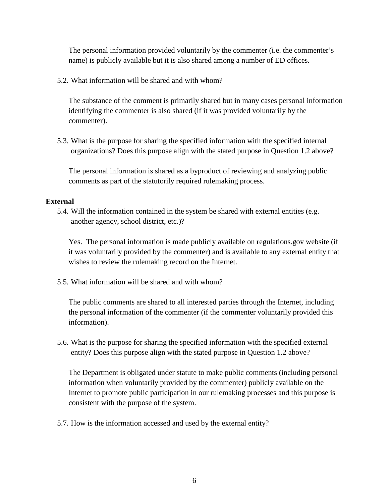The personal information provided voluntarily by the commenter (i.e. the commenter's name) is publicly available but it is also shared among a number of ED offices.

5.2. What information will be shared and with whom?

The substance of the comment is primarily shared but in many cases personal information identifying the commenter is also shared (if it was provided voluntarily by the commenter).

5.3. What is the purpose for sharing the specified information with the specified internal organizations? Does this purpose align with the stated purpose in Question 1.2 above?

The personal information is shared as a byproduct of reviewing and analyzing public comments as part of the statutorily required rulemaking process.

#### **External**

5.4. Will the information contained in the system be shared with external entities (e.g. another agency, school district, etc.)?

Yes. The personal information is made publicly available on regulations.gov website (if it was voluntarily provided by the commenter) and is available to any external entity that wishes to review the rulemaking record on the Internet.

5.5. What information will be shared and with whom?

The public comments are shared to all interested parties through the Internet, including the personal information of the commenter (if the commenter voluntarily provided this information).

5.6. What is the purpose for sharing the specified information with the specified external entity? Does this purpose align with the stated purpose in Question 1.2 above?

The Department is obligated under statute to make public comments (including personal information when voluntarily provided by the commenter) publicly available on the Internet to promote public participation in our rulemaking processes and this purpose is consistent with the purpose of the system.

5.7. How is the information accessed and used by the external entity?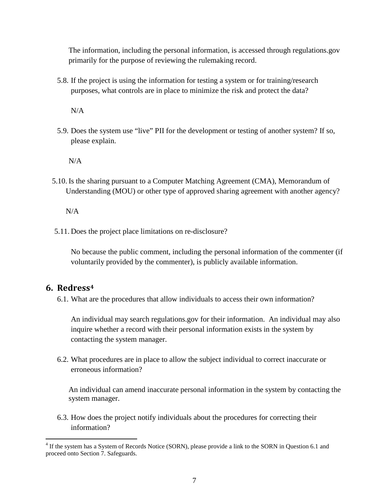The information, including the personal information, is accessed through regulations.gov primarily for the purpose of reviewing the rulemaking record.

5.8. If the project is using the information for testing a system or for training/research purposes, what controls are in place to minimize the risk and protect the data?

 $N/A$ 

5.9. Does the system use "live" PII for the development or testing of another system? If so, please explain.

N/A

5.10. Is the sharing pursuant to a Computer Matching Agreement (CMA), Memorandum of Understanding (MOU) or other type of approved sharing agreement with another agency?

N/A

5.11. Does the project place limitations on re-disclosure?

No because the public comment, including the personal information of the commenter (if voluntarily provided by the commenter), is publicly available information.

#### **6. Redress[4](#page-6-0)**

 $\overline{a}$ 

6.1. What are the procedures that allow individuals to access their own information?

An individual may search regulations.gov for their information. An individual may also inquire whether a record with their personal information exists in the system by contacting the system manager.

6.2. What procedures are in place to allow the subject individual to correct inaccurate or erroneous information?

An individual can amend inaccurate personal information in the system by contacting the system manager.

6.3. How does the project notify individuals about the procedures for correcting their information?

<span id="page-6-0"></span> $4$  If the system has a System of Records Notice (SORN), please provide a link to the SORN in Question 6.1 and proceed onto Section 7. Safeguards.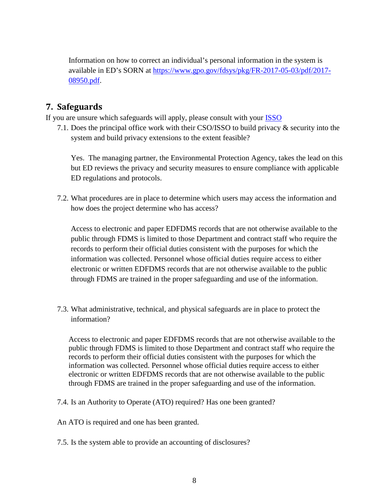Information on how to correct an individual's personal information in the system is available in ED's SORN at [https://www.gpo.gov/fdsys/pkg/FR-2017-05-03/pdf/2017-](https://www.gpo.gov/fdsys/pkg/FR-2017-05-03/pdf/2017-08950.pdf) [08950.pdf.](https://www.gpo.gov/fdsys/pkg/FR-2017-05-03/pdf/2017-08950.pdf)

# **7. Safeguards**

If you are unsure which safeguards will apply, please consult with your [ISSO](https://share.ed.gov/teams/OCIO/IA/SEA/SEA_Collab/SitePages/ED%20ISSOs.aspx)

7.1. Does the principal office work with their CSO/ISSO to build privacy & security into the system and build privacy extensions to the extent feasible?

Yes. The managing partner, the Environmental Protection Agency, takes the lead on this but ED reviews the privacy and security measures to ensure compliance with applicable ED regulations and protocols.

7.2. What procedures are in place to determine which users may access the information and how does the project determine who has access?

Access to electronic and paper EDFDMS records that are not otherwise available to the public through FDMS is limited to those Department and contract staff who require the records to perform their official duties consistent with the purposes for which the information was collected. Personnel whose official duties require access to either electronic or written EDFDMS records that are not otherwise available to the public through FDMS are trained in the proper safeguarding and use of the information.

7.3. What administrative, technical, and physical safeguards are in place to protect the information?

Access to electronic and paper EDFDMS records that are not otherwise available to the public through FDMS is limited to those Department and contract staff who require the records to perform their official duties consistent with the purposes for which the information was collected. Personnel whose official duties require access to either electronic or written EDFDMS records that are not otherwise available to the public through FDMS are trained in the proper safeguarding and use of the information.

- 7.4. Is an Authority to Operate (ATO) required? Has one been granted?
- An ATO is required and one has been granted.
- 7.5. Is the system able to provide an accounting of disclosures?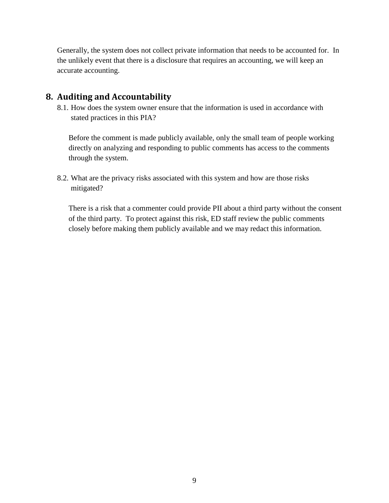Generally, the system does not collect private information that needs to be accounted for. In the unlikely event that there is a disclosure that requires an accounting, we will keep an accurate accounting.

# **8. Auditing and Accountability**

8.1. How does the system owner ensure that the information is used in accordance with stated practices in this PIA?

Before the comment is made publicly available, only the small team of people working directly on analyzing and responding to public comments has access to the comments through the system.

8.2. What are the privacy risks associated with this system and how are those risks mitigated?

There is a risk that a commenter could provide PII about a third party without the consent of the third party. To protect against this risk, ED staff review the public comments closely before making them publicly available and we may redact this information.